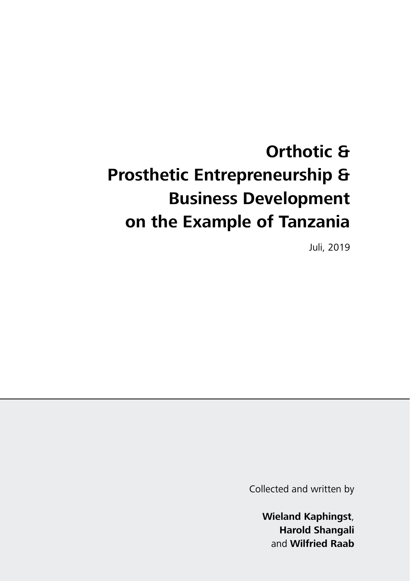# **Orthotic & Prosthetic Entrepreneurship & Business Development on the Example of Tanzania**

Juli, 2019

Collected and written by

**Wieland Kaphingst**, **Harold Shangali** and **Wilfried Raab**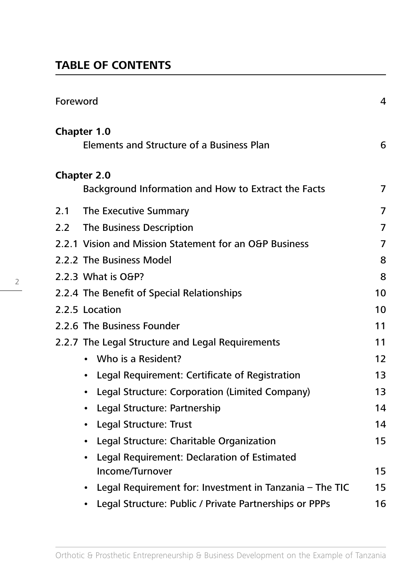# **TABLE OF CONTENTS**

2

| Foreword                                                                  | 4  |
|---------------------------------------------------------------------------|----|
| Chapter 1.0<br>Elements and Structure of a Business Plan                  | 6  |
| <b>Chapter 2.0</b><br>Background Information and How to Extract the Facts | 7  |
|                                                                           |    |
| The Executive Summary<br>2.1                                              | 7  |
| The Business Description<br>2.2                                           | 7  |
| 2.2.1 Vision and Mission Statement for an O&P Business                    | 7  |
| 2.2.2 The Business Model                                                  | 8  |
| 2.2.3 What is O&P?                                                        | 8  |
| 2.2.4 The Benefit of Special Relationships                                | 10 |
| 2.2.5 Location                                                            | 10 |
| 2.2.6 The Business Founder                                                | 11 |
| 2.2.7 The Legal Structure and Legal Requirements                          | 11 |
| • Who is a Resident?                                                      | 12 |
| Legal Requirement: Certificate of Registration<br>$\bullet$               | 13 |
| Legal Structure: Corporation (Limited Company)<br>$\bullet$               | 13 |
| Legal Structure: Partnership<br>$\bullet$                                 | 14 |
| • Legal Structure: Trust                                                  | 14 |
| Legal Structure: Charitable Organization<br>$\bullet$                     | 15 |
| Legal Requirement: Declaration of Estimated                               |    |
| Income/Turnover                                                           | 15 |
| Legal Requirement for: Investment in Tanzania - The TIC                   | 15 |
| Legal Structure: Public / Private Partnerships or PPPs<br>$\bullet$       | 16 |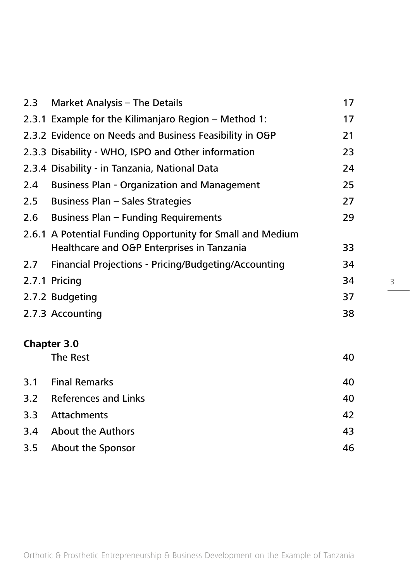| Market Analysis - The Details                              | 17 |
|------------------------------------------------------------|----|
| 2.3.1 Example for the Kilimanjaro Region - Method 1:       | 17 |
| 2.3.2 Evidence on Needs and Business Feasibility in O&P    | 21 |
| 2.3.3 Disability - WHO, ISPO and Other information         | 23 |
| 2.3.4 Disability - in Tanzania, National Data              | 24 |
| <b>Business Plan - Organization and Management</b>         | 25 |
| Business Plan - Sales Strategies                           | 27 |
| Business Plan - Funding Requirements                       | 29 |
| 2.6.1 A Potential Funding Opportunity for Small and Medium |    |
| Healthcare and O&P Enterprises in Tanzania                 | 33 |
| Financial Projections - Pricing/Budgeting/Accounting       | 34 |
| 2.7.1 Pricing                                              | 34 |
| 2.7.2 Budgeting                                            | 37 |
| 2.7.3 Accounting                                           | 38 |
| <b>Chapter 3.0</b>                                         |    |
| The Rest                                                   | 40 |
| <b>Final Remarks</b>                                       | 40 |
| <b>References and Links</b>                                | 40 |
| <b>Attachments</b>                                         | 42 |
| <b>About the Authors</b>                                   | 43 |
| About the Sponsor                                          | 46 |
|                                                            |    |

3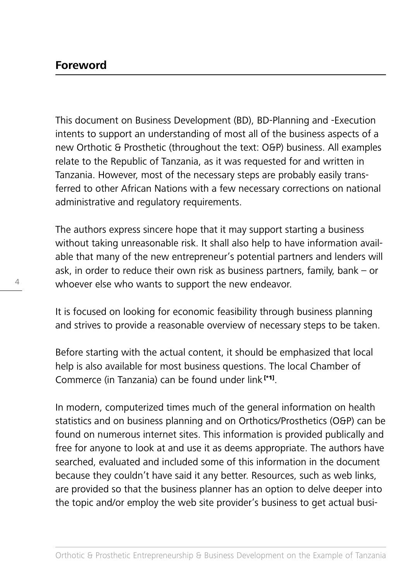This document on Business Development (BD), BD-Planning and -Execution intents to support an understanding of most all of the business aspects of a new Orthotic & Prosthetic (throughout the text: O&P) business. All examples relate to the Republic of Tanzania, as it was requested for and written in Tanzania. However, most of the necessary steps are probably easily transferred to other African Nations with a few necessary corrections on national administrative and regulatory requirements.

The authors express sincere hope that it may support starting a business without taking unreasonable risk. It shall also help to have information available that many of the new entrepreneur's potential partners and lenders will ask, in order to reduce their own risk as business partners, family, bank – or whoever else who wants to support the new endeavor.

It is focused on looking for economic feasibility through business planning and strives to provide a reasonable overview of necessary steps to be taken.

Before starting with the actual content, it should be emphasized that local help is also available for most business questions. The local Chamber of Commerce (in Tanzania) can be found under link [\*1].

In modern, computerized times much of the general information on health statistics and on business planning and on Orthotics/Prosthetics (O&P) can be found on numerous internet sites. This information is provided publically and free for anyone to look at and use it as deems appropriate. The authors have searched, evaluated and included some of this information in the document because they couldn't have said it any better. Resources, such as web links, are provided so that the business planner has an option to delve deeper into the topic and/or employ the web site provider's business to get actual busi-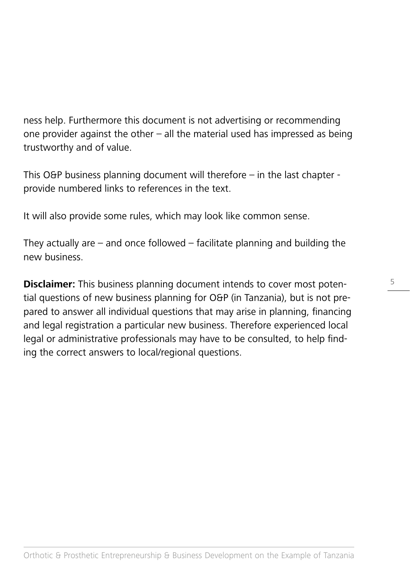ness help. Furthermore this document is not advertising or recommending one provider against the other – all the material used has impressed as being trustworthy and of value.

This O&P business planning document will therefore  $-$  in the last chapter  $$ provide numbered links to references in the text.

It will also provide some rules, which may look like common sense.

They actually are  $-$  and once followed  $-$  facilitate planning and building the new business.

**Disclaimer:** This business planning document intends to cover most potential questions of new business planning for O&P (in Tanzania), but is not prepared to answer all individual questions that may arise in planning, financing and legal registration a particular new business. Therefore experienced local legal or administrative professionals may have to be consulted, to help finding the correct answers to local/regional questions.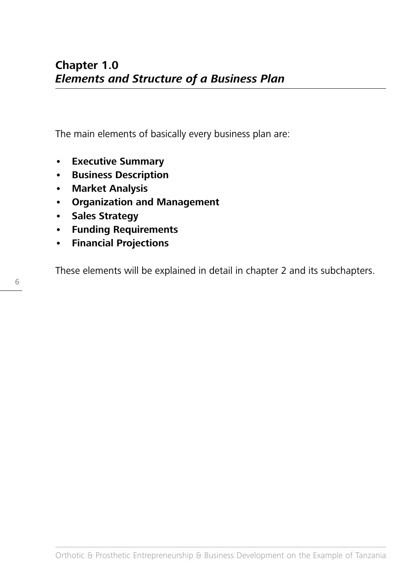The main elements of basically every business plan are:

- **• Executive Summary**
- **• Business Description**
- **• Market Analysis**
- **• Organization and Management**
- **• Sales Strategy**
- **• Funding Requirements**
- **• Financial Projections**

These elements will be explained in detail in chapter 2 and its subchapters.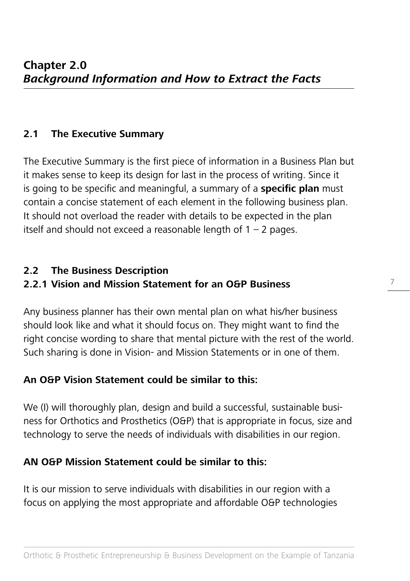## **2.1 The Executive Summary**

The Executive Summary is the first piece of information in a Business Plan but it makes sense to keep its design for last in the process of writing. Since it is going to be specific and meaningful, a summary of a **specific plan** must contain a concise statement of each element in the following business plan. It should not overload the reader with details to be expected in the plan itself and should not exceed a reasonable length of  $1 - 2$  pages.

#### **2.2 The Business Description**

## **2.2.1 Vision and Mission Statement for an O&P Business**

Any business planner has their own mental plan on what his/her business should look like and what it should focus on. They might want to find the right concise wording to share that mental picture with the rest of the world. Such sharing is done in Vision- and Mission Statements or in one of them.

## **An O&P Vision Statement could be similar to this:**

We (I) will thoroughly plan, design and build a successful, sustainable business for Orthotics and Prosthetics (O&P) that is appropriate in focus, size and technology to serve the needs of individuals with disabilities in our region.

## **AN O&P Mission Statement could be similar to this:**

It is our mission to serve individuals with disabilities in our region with a focus on applying the most appropriate and affordable O&P technologies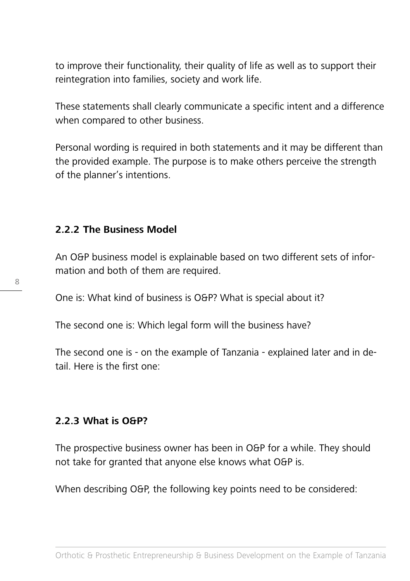to improve their functionality, their quality of life as well as to support their reintegration into families, society and work life.

These statements shall clearly communicate a specific intent and a difference when compared to other business.

Personal wording is required in both statements and it may be different than the provided example. The purpose is to make others perceive the strength of the planner's intentions.

#### **2.2.2 The Business Model**

An O&P business model is explainable based on two different sets of information and both of them are required.

One is: What kind of business is O&P? What is special about it?

The second one is: Which legal form will the business have?

The second one is - on the example of Tanzania - explained later and in detail. Here is the first one:

#### **2.2.3 What is O&P?**

The prospective business owner has been in O&P for a while. They should not take for granted that anyone else knows what O&P is.

When describing O&P, the following key points need to be considered: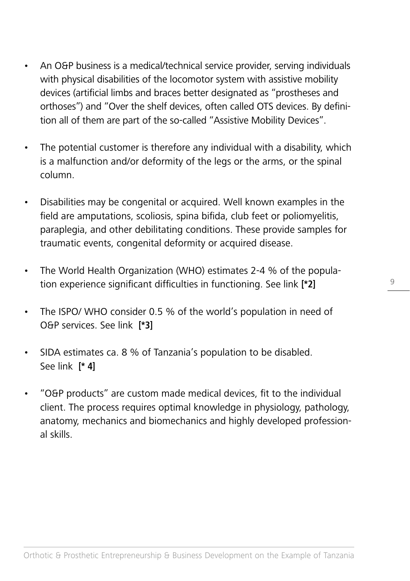- An O&P business is a medical/technical service provider, serving individuals with physical disabilities of the locomotor system with assistive mobility devices (artificial limbs and braces better designated as "prostheses and orthoses") and "Over the shelf devices, often called OTS devices. By definition all of them are part of the so-called "Assistive Mobility Devices".
- The potential customer is therefore any individual with a disability, which is a malfunction and/or deformity of the legs or the arms, or the spinal column.
- Disabilities may be congenital or acquired. Well known examples in the field are amputations, scoliosis, spina bifida, club feet or poliomyelitis, paraplegia, and other debilitating conditions. These provide samples for traumatic events, congenital deformity or acquired disease.
- The World Health Organization (WHO) estimates 2-4 % of the population experience significant difficulties in functioning. See link **[\*2]**
- The ISPO/ WHO consider 0.5 % of the world's population in need of O&P services. See link **[\*3]**
- SIDA estimates ca. 8 % of Tanzania's population to be disabled. See link **[\* 4]**
- "O&P products" are custom made medical devices, fit to the individual client. The process requires optimal knowledge in physiology, pathology, anatomy, mechanics and biomechanics and highly developed professional skills.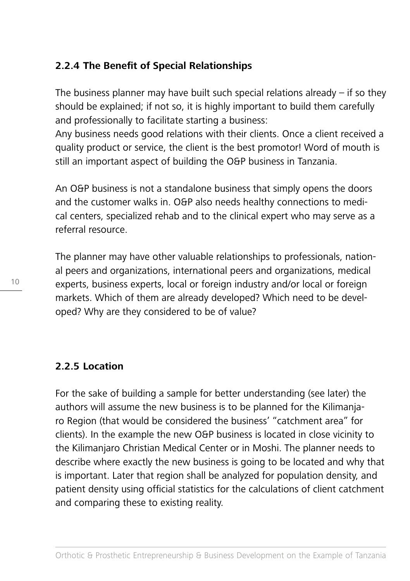## **2.2.4 The Benefit of Special Relationships**

The business planner may have built such special relations already  $-$  if so they should be explained; if not so, it is highly important to build them carefully and professionally to facilitate starting a business:

Any business needs good relations with their clients. Once a client received a quality product or service, the client is the best promotor! Word of mouth is still an important aspect of building the O&P business in Tanzania.

An O&P business is not a standalone business that simply opens the doors and the customer walks in. O&P also needs healthy connections to medical centers, specialized rehab and to the clinical expert who may serve as a referral resource.

The planner may have other valuable relationships to professionals, national peers and organizations, international peers and organizations, medical experts, business experts, local or foreign industry and/or local or foreign markets. Which of them are already developed? Which need to be developed? Why are they considered to be of value?

## **2.2.5 Location**

For the sake of building a sample for better understanding (see later) the authors will assume the new business is to be planned for the Kilimanjaro Region (that would be considered the business' "catchment area" for clients). In the example the new O&P business is located in close vicinity to the Kilimanjaro Christian Medical Center or in Moshi. The planner needs to describe where exactly the new business is going to be located and why that is important. Later that region shall be analyzed for population density, and patient density using official statistics for the calculations of client catchment and comparing these to existing reality.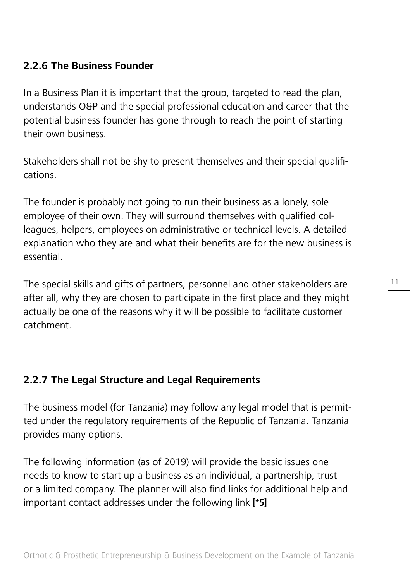## **2.2.6 The Business Founder**

In a Business Plan it is important that the group, targeted to read the plan, understands O&P and the special professional education and career that the potential business founder has gone through to reach the point of starting their own business.

Stakeholders shall not be shy to present themselves and their special qualifications.

The founder is probably not going to run their business as a lonely, sole employee of their own. They will surround themselves with qualified colleagues, helpers, employees on administrative or technical levels. A detailed explanation who they are and what their benefits are for the new business is essential.

The special skills and gifts of partners, personnel and other stakeholders are after all, why they are chosen to participate in the first place and they might actually be one of the reasons why it will be possible to facilitate customer catchment.

## **2.2.7 The Legal Structure and Legal Requirements**

The business model (for Tanzania) may follow any legal model that is permitted under the regulatory requirements of the Republic of Tanzania. Tanzania provides many options.

The following information (as of 2019) will provide the basic issues one needs to know to start up a business as an individual, a partnership, trust or a limited company. The planner will also find links for additional help and important contact addresses under the following link **[\*5]**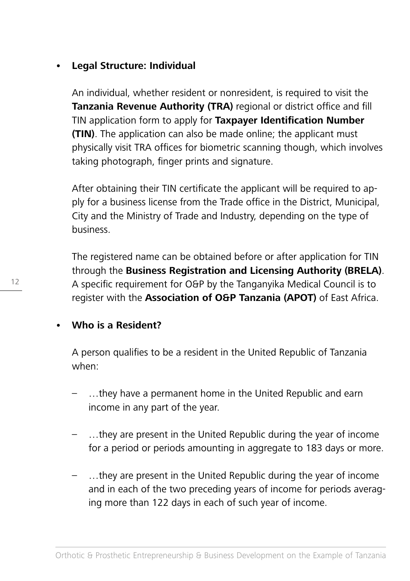## **• Legal Structure: Individual**

An individual, whether resident or nonresident, is required to visit the **Tanzania Revenue Authority (TRA)** regional or district office and fill TIN application form to apply for **Taxpayer Identification Number (TIN)**. The application can also be made online; the applicant must physically visit TRA offices for biometric scanning though, which involves taking photograph, finger prints and signature.

After obtaining their TIN certificate the applicant will be required to apply for a business license from the Trade office in the District, Municipal, City and the Ministry of Trade and Industry, depending on the type of business.

The registered name can be obtained before or after application for TIN through the **Business Registration and Licensing Authority (BRELA)**. A specific requirement for O&P by the Tanganyika Medical Council is to register with the **Association of O&P Tanzania (APOT)** of East Africa.

## **• Who is a Resident?**

A person qualifies to be a resident in the United Republic of Tanzania when:

- …they have a permanent home in the United Republic and earn income in any part of the year.
- …they are present in the United Republic during the year of income for a period or periods amounting in aggregate to 183 days or more.
- …they are present in the United Republic during the year of income and in each of the two preceding years of income for periods averaging more than 122 days in each of such year of income.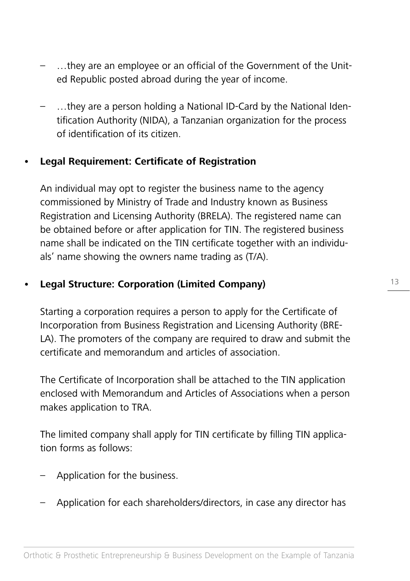- …they are an employee or an official of the Government of the United Republic posted abroad during the year of income.
- …they are a person holding a National ID-Card by the National Identification Authority (NIDA), a Tanzanian organization for the process of identification of its citizen.

## **• Legal Requirement: Certificate of Registration**

An individual may opt to register the business name to the agency commissioned by Ministry of Trade and Industry known as Business Registration and Licensing Authority (BRELA). The registered name can be obtained before or after application for TIN. The registered business name shall be indicated on the TIN certificate together with an individuals' name showing the owners name trading as (T/A).

## **• Legal Structure: Corporation (Limited Company)**

Starting a corporation requires a person to apply for the Certificate of Incorporation from Business Registration and Licensing Authority (BRE-LA). The promoters of the company are required to draw and submit the certificate and memorandum and articles of association.

The Certificate of Incorporation shall be attached to the TIN application enclosed with Memorandum and Articles of Associations when a person makes application to TRA.

The limited company shall apply for TIN certificate by filling TIN application forms as follows:

- Application for the business.
- Application for each shareholders/directors, in case any director has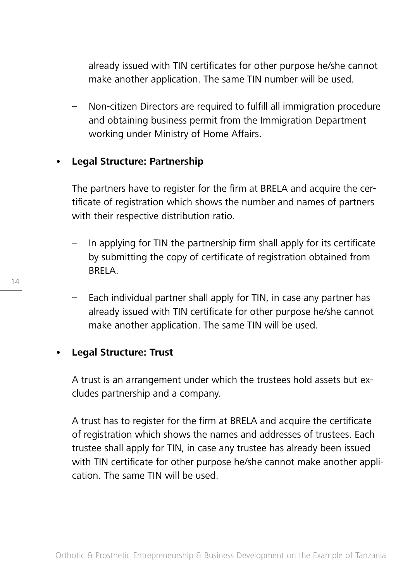already issued with TIN certificates for other purpose he/she cannot make another application. The same TIN number will be used.

– Non-citizen Directors are required to fulfill all immigration procedure and obtaining business permit from the Immigration Department working under Ministry of Home Affairs.

#### **• Legal Structure: Partnership**

The partners have to register for the firm at BRELA and acquire the certificate of registration which shows the number and names of partners with their respective distribution ratio.

- In applying for TIN the partnership firm shall apply for its certificate by submitting the copy of certificate of registration obtained from BRELA.
- Each individual partner shall apply for TIN, in case any partner has already issued with TIN certificate for other purpose he/she cannot make another application. The same TIN will be used.

## **• Legal Structure: Trust**

A trust is an arrangement under which the trustees hold assets but excludes partnership and a company.

A trust has to register for the firm at BRELA and acquire the certificate of registration which shows the names and addresses of trustees. Each trustee shall apply for TIN, in case any trustee has already been issued with TIN certificate for other purpose he/she cannot make another application. The same TIN will be used.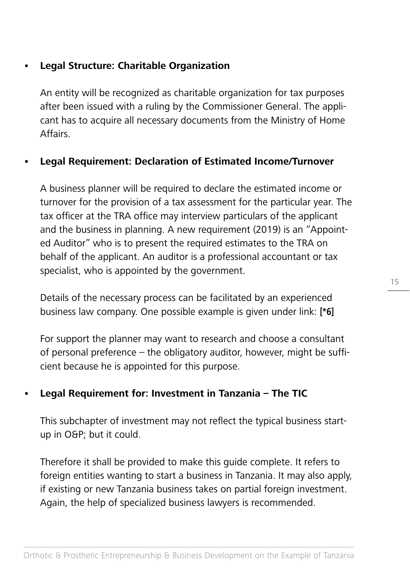## **• Legal Structure: Charitable Organization**

An entity will be recognized as charitable organization for tax purposes after been issued with a ruling by the Commissioner General. The applicant has to acquire all necessary documents from the Ministry of Home Affairs.

## **• Legal Requirement: Declaration of Estimated Income/Turnover**

A business planner will be required to declare the estimated income or turnover for the provision of a tax assessment for the particular year. The tax officer at the TRA office may interview particulars of the applicant and the business in planning. A new requirement (2019) is an "Appointed Auditor" who is to present the required estimates to the TRA on behalf of the applicant. An auditor is a professional accountant or tax specialist, who is appointed by the government.

Details of the necessary process can be facilitated by an experienced business law company. One possible example is given under link: **[\*6]**

For support the planner may want to research and choose a consultant of personal preference – the obligatory auditor, however, might be sufficient because he is appointed for this purpose.

## **• Legal Requirement for: Investment in Tanzania – The TIC**

This subchapter of investment may not reflect the typical business startup in O&P; but it could.

Therefore it shall be provided to make this guide complete. It refers to foreign entities wanting to start a business in Tanzania. It may also apply, if existing or new Tanzania business takes on partial foreign investment. Again, the help of specialized business lawyers is recommended.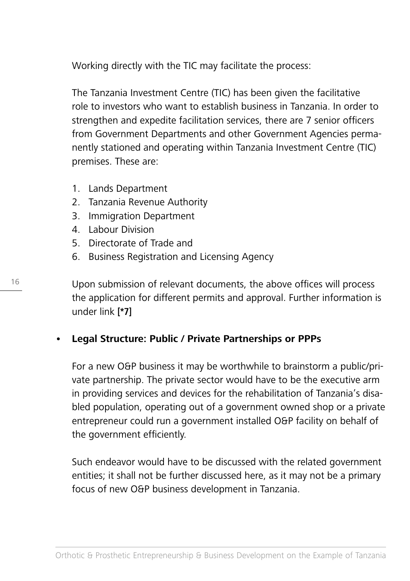Working directly with the TIC may facilitate the process:

The Tanzania Investment Centre (TIC) has been given the facilitative role to investors who want to establish business in Tanzania. In order to strengthen and expedite facilitation services, there are 7 senior officers from Government Departments and other Government Agencies permanently stationed and operating within Tanzania Investment Centre (TIC) premises. These are:

- 1. Lands Department
- 2. Tanzania Revenue Authority
- 3. Immigration Department
- 4. Labour Division
- 5. Directorate of Trade and
- 6. Business Registration and Licensing Agency

Upon submission of relevant documents, the above offices will process the application for different permits and approval. Further information is under link **[\*7]** 

## **• Legal Structure: Public / Private Partnerships or PPPs**

For a new O&P business it may be worthwhile to brainstorm a public/private partnership. The private sector would have to be the executive arm in providing services and devices for the rehabilitation of Tanzania's disabled population, operating out of a government owned shop or a private entrepreneur could run a government installed O&P facility on behalf of the government efficiently.

Such endeavor would have to be discussed with the related government entities; it shall not be further discussed here, as it may not be a primary focus of new O&P business development in Tanzania.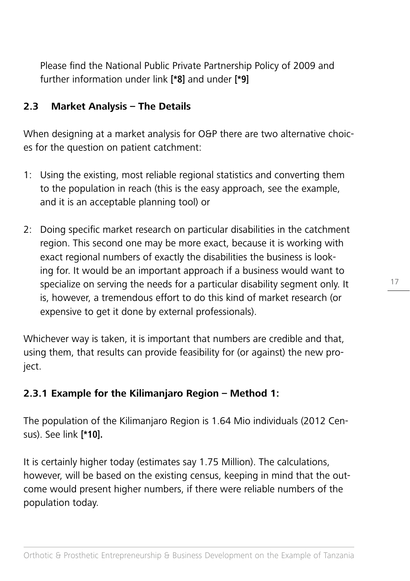Please find the National Public Private Partnership Policy of 2009 and further information under link **[\*8]** and under **[\*9]**

## **2.3 Market Analysis – The Details**

When designing at a market analysis for O&P there are two alternative choices for the question on patient catchment:

- 1: Using the existing, most reliable regional statistics and converting them to the population in reach (this is the easy approach, see the example, and it is an acceptable planning tool) or
- 2: Doing specific market research on particular disabilities in the catchment region. This second one may be more exact, because it is working with exact regional numbers of exactly the disabilities the business is looking for. It would be an important approach if a business would want to specialize on serving the needs for a particular disability segment only. It is, however, a tremendous effort to do this kind of market research (or expensive to get it done by external professionals).

Whichever way is taken, it is important that numbers are credible and that, using them, that results can provide feasibility for (or against) the new project.

## **2.3.1 Example for the Kilimanjaro Region – Method 1:**

The population of the Kilimanjaro Region is 1.64 Mio individuals (2012 Census). See link **[\*10].**

It is certainly higher today (estimates say 1.75 Million). The calculations, however, will be based on the existing census, keeping in mind that the outcome would present higher numbers, if there were reliable numbers of the population today.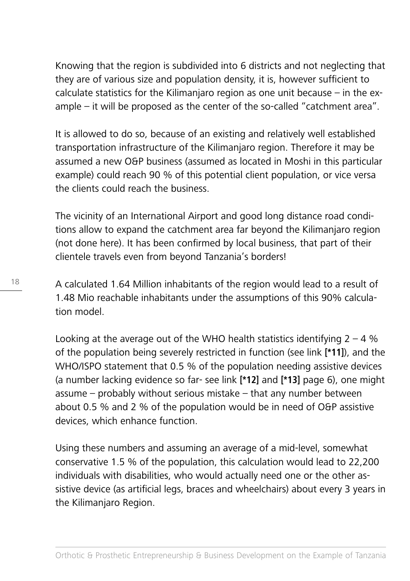Knowing that the region is subdivided into 6 districts and not neglecting that they are of various size and population density, it is, however sufficient to calculate statistics for the Kilimanjaro region as one unit because – in the example – it will be proposed as the center of the so-called "catchment area".

It is allowed to do so, because of an existing and relatively well established transportation infrastructure of the Kilimanjaro region. Therefore it may be assumed a new O&P business (assumed as located in Moshi in this particular example) could reach 90 % of this potential client population, or vice versa the clients could reach the business.

The vicinity of an International Airport and good long distance road conditions allow to expand the catchment area far beyond the Kilimanjaro region (not done here). It has been confirmed by local business, that part of their clientele travels even from beyond Tanzania's borders!

A calculated 1.64 Million inhabitants of the region would lead to a result of 1.48 Mio reachable inhabitants under the assumptions of this 90% calculation model.

Looking at the average out of the WHO health statistics identifying  $2 - 4$  % of the population being severely restricted in function (see link **[\*11]**), and the WHO/ISPO statement that 0.5 % of the population needing assistive devices (a number lacking evidence so far- see link **[\*12]** and **[\*13]** page 6), one might assume – probably without serious mistake – that any number between about 0.5 % and 2 % of the population would be in need of O&P assistive devices, which enhance function.

Using these numbers and assuming an average of a mid-level, somewhat conservative 1.5 % of the population, this calculation would lead to 22,200 individuals with disabilities, who would actually need one or the other assistive device (as artificial legs, braces and wheelchairs) about every 3 years in the Kilimanjaro Region.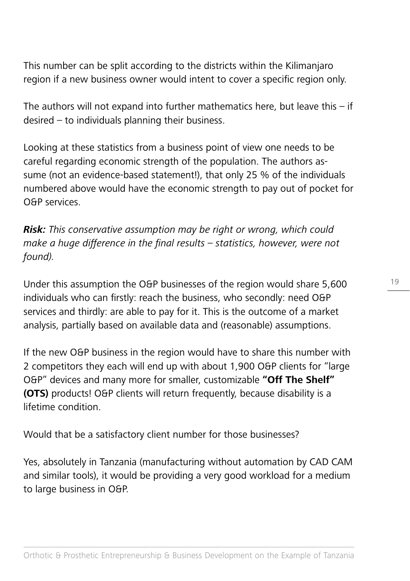This number can be split according to the districts within the Kilimanjaro region if a new business owner would intent to cover a specific region only.

The authors will not expand into further mathematics here, but leave this  $-$  if desired – to individuals planning their business.

Looking at these statistics from a business point of view one needs to be careful regarding economic strength of the population. The authors assume (not an evidence-based statement!), that only 25 % of the individuals numbered above would have the economic strength to pay out of pocket for O&P services.

**Risk:** This conservative assumption may be right or wrong, which could make a huge difference in the final results – statistics, however, were not found).

Under this assumption the O&P businesses of the region would share 5,600 individuals who can firstly: reach the business, who secondly: need O&P services and thirdly: are able to pay for it. This is the outcome of a market analysis, partially based on available data and (reasonable) assumptions.

If the new O&P business in the region would have to share this number with 2 competitors they each will end up with about 1,900 O&P clients for "large O&P" devices and many more for smaller, customizable **"Off The Shelf" (OTS)** products! O&P clients will return frequently, because disability is a lifetime condition.

Would that be a satisfactory client number for those businesses?

Yes, absolutely in Tanzania (manufacturing without automation by CAD CAM and similar tools), it would be providing a very good workload for a medium to large business in O&P.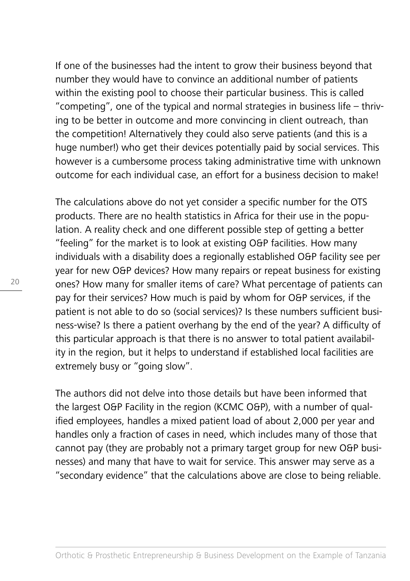If one of the businesses had the intent to grow their business beyond that number they would have to convince an additional number of patients within the existing pool to choose their particular business. This is called "competing", one of the typical and normal strategies in business life – thriving to be better in outcome and more convincing in client outreach, than the competition! Alternatively they could also serve patients (and this is a huge number!) who get their devices potentially paid by social services. This however is a cumbersome process taking administrative time with unknown outcome for each individual case, an effort for a business decision to make!

The calculations above do not yet consider a specific number for the OTS products. There are no health statistics in Africa for their use in the population. A reality check and one different possible step of getting a better "feeling" for the market is to look at existing O&P facilities. How many individuals with a disability does a regionally established O&P facility see per year for new O&P devices? How many repairs or repeat business for existing ones? How many for smaller items of care? What percentage of patients can pay for their services? How much is paid by whom for O&P services, if the patient is not able to do so (social services)? Is these numbers sufficient business-wise? Is there a patient overhang by the end of the year? A difficulty of this particular approach is that there is no answer to total patient availability in the region, but it helps to understand if established local facilities are extremely busy or "going slow".

The authors did not delve into those details but have been informed that the largest O&P Facility in the region (KCMC O&P), with a number of qualified employees, handles a mixed patient load of about 2,000 per year and handles only a fraction of cases in need, which includes many of those that cannot pay (they are probably not a primary target group for new O&P businesses) and many that have to wait for service. This answer may serve as a "secondary evidence" that the calculations above are close to being reliable.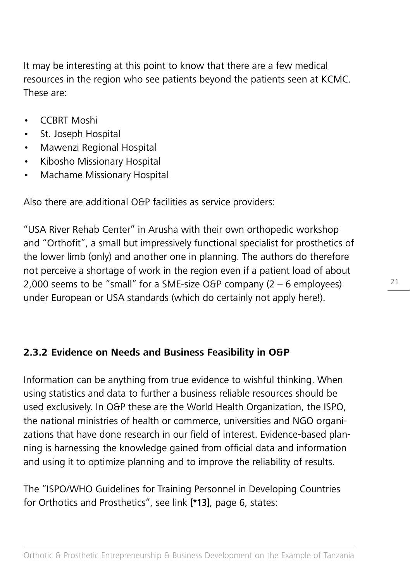It may be interesting at this point to know that there are a few medical resources in the region who see patients beyond the patients seen at KCMC. These are:

- CCBRT Moshi
- St. Joseph Hospital
- Mawenzi Regional Hospital
- Kibosho Missionary Hospital
- Machame Missionary Hospital

Also there are additional O&P facilities as service providers:

"USA River Rehab Center" in Arusha with their own orthopedic workshop and "Orthofit", a small but impressively functional specialist for prosthetics of the lower limb (only) and another one in planning. The authors do therefore not perceive a shortage of work in the region even if a patient load of about 2,000 seems to be "small" for a SME-size O&P company  $(2 - 6$  employees) under European or USA standards (which do certainly not apply here!).

## **2.3.2 Evidence on Needs and Business Feasibility in O&P**

Information can be anything from true evidence to wishful thinking. When using statistics and data to further a business reliable resources should be used exclusively. In O&P these are the World Health Organization, the ISPO, the national ministries of health or commerce, universities and NGO organizations that have done research in our field of interest. Evidence-based planning is harnessing the knowledge gained from official data and information and using it to optimize planning and to improve the reliability of results.

The "ISPO/WHO Guidelines for Training Personnel in Developing Countries for Orthotics and Prosthetics", see link **[\*13]**, page 6, states: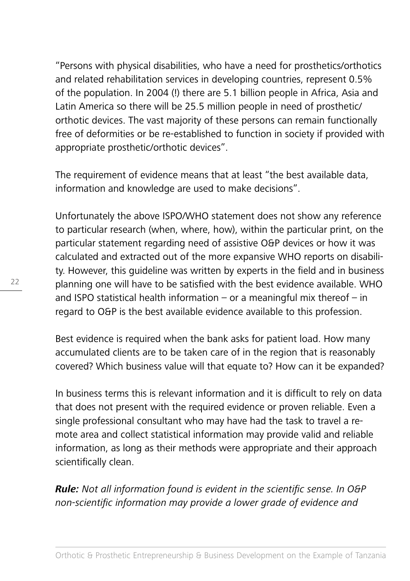"Persons with physical disabilities, who have a need for prosthetics/orthotics and related rehabilitation services in developing countries, represent 0.5% of the population. In 2004 (!) there are 5.1 billion people in Africa, Asia and Latin America so there will be 25.5 million people in need of prosthetic/ orthotic devices. The vast majority of these persons can remain functionally free of deformities or be re-established to function in society if provided with appropriate prosthetic/orthotic devices".

The requirement of evidence means that at least "the best available data, information and knowledge are used to make decisions".

Unfortunately the above ISPO/WHO statement does not show any reference to particular research (when, where, how), within the particular print, on the particular statement regarding need of assistive O&P devices or how it was calculated and extracted out of the more expansive WHO reports on disability. However, this guideline was written by experts in the field and in business planning one will have to be satisfied with the best evidence available. WHO and ISPO statistical health information – or a meaningful mix thereof – in regard to O&P is the best available evidence available to this profession.

Best evidence is required when the bank asks for patient load. How many accumulated clients are to be taken care of in the region that is reasonably covered? Which business value will that equate to? How can it be expanded?

In business terms this is relevant information and it is difficult to rely on data that does not present with the required evidence or proven reliable. Even a single professional consultant who may have had the task to travel a remote area and collect statistical information may provide valid and reliable information, as long as their methods were appropriate and their approach scientifically clean.

**Rule:** Not all information found is evident in the scientific sense. In O&P non-scientific information may provide a lower grade of evidence and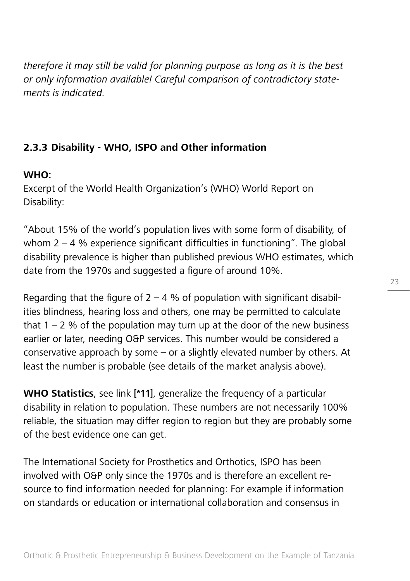therefore it may still be valid for planning purpose as long as it is the best or only information available! Careful comparison of contradictory statements is indicated.

## **2.3.3 Disability - WHO, ISPO and Other information**

## **WHO:**

Excerpt of the World Health Organization's (WHO) World Report on Disability:

"About 15% of the world's population lives with some form of disability, of whom  $2 - 4$  % experience significant difficulties in functioning". The global disability prevalence is higher than published previous WHO estimates, which date from the 1970s and suggested a figure of around 10%.

Regarding that the figure of  $2 - 4$  % of population with significant disabilities blindness, hearing loss and others, one may be permitted to calculate that  $1 - 2$  % of the population may turn up at the door of the new business earlier or later, needing O&P services. This number would be considered a conservative approach by some – or a slightly elevated number by others. At least the number is probable (see details of the market analysis above).

**WHO Statistics**, see link **[\*11]**, generalize the frequency of a particular disability in relation to population. These numbers are not necessarily 100% reliable, the situation may differ region to region but they are probably some of the best evidence one can get.

The International Society for Prosthetics and Orthotics, ISPO has been involved with O&P only since the 1970s and is therefore an excellent resource to find information needed for planning: For example if information on standards or education or international collaboration and consensus in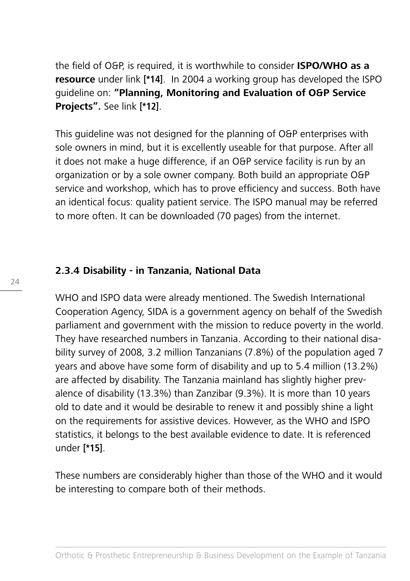the field of O&P, is required, it is worthwhile to consider **ISPO/WHO as a resource** under link **[\*14]**. In 2004 a working group has developed the ISPO guideline on: **"Planning, Monitoring and Evaluation of O&P Service Projects".** See link **[\*12]**.

This guideline was not designed for the planning of O&P enterprises with sole owners in mind, but it is excellently useable for that purpose. After all it does not make a huge difference, if an O&P service facility is run by an organization or by a sole owner company. Both build an appropriate O&P service and workshop, which has to prove efficiency and success. Both have an identical focus: quality patient service. The ISPO manual may be referred to more often. It can be downloaded (70 pages) from the internet.

#### **2.3.4 Disability - in Tanzania, National Data**

WHO and ISPO data were already mentioned. The Swedish International Cooperation Agency, SIDA is a government agency on behalf of the Swedish parliament and government with the mission to reduce poverty in the world. They have researched numbers in Tanzania. According to their national disability survey of 2008, 3.2 million Tanzanians (7.8%) of the population aged 7 years and above have some form of disability and up to 5.4 million (13.2%) are affected by disability. The Tanzania mainland has slightly higher prevalence of disability (13.3%) than Zanzibar (9.3%). It is more than 10 years old to date and it would be desirable to renew it and possibly shine a light on the requirements for assistive devices. However, as the WHO and ISPO statistics, it belongs to the best available evidence to date. It is referenced under **[\*15]**.

These numbers are considerably higher than those of the WHO and it would be interesting to compare both of their methods.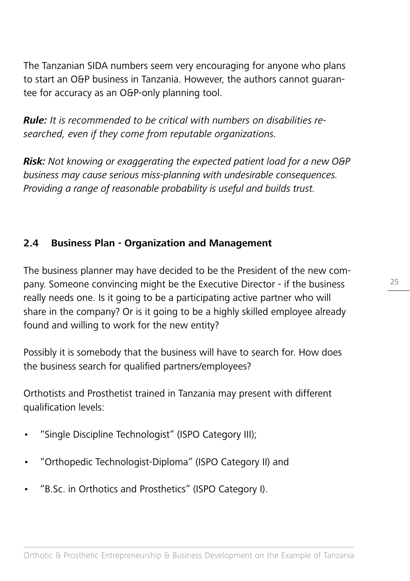The Tanzanian SIDA numbers seem very encouraging for anyone who plans to start an O&P business in Tanzania. However, the authors cannot guarantee for accuracy as an O&P-only planning tool.

**Rule:** It is recommended to be critical with numbers on disabilities researched, even if they come from reputable organizations.

**Risk:** Not knowing or exaggerating the expected patient load for a new O&P business may cause serious miss-planning with undesirable consequences. Providing a range of reasonable probability is useful and builds trust.

## **2.4 Business Plan - Organization and Management**

The business planner may have decided to be the President of the new company. Someone convincing might be the Executive Director - if the business really needs one. Is it going to be a participating active partner who will share in the company? Or is it going to be a highly skilled employee already found and willing to work for the new entity?

Possibly it is somebody that the business will have to search for. How does the business search for qualified partners/employees?

Orthotists and Prosthetist trained in Tanzania may present with different qualification levels:

- "Single Discipline Technologist" (ISPO Category III);
- "Orthopedic Technologist-Diploma" (ISPO Category II) and
- "B.Sc. in Orthotics and Prosthetics" (ISPO Category I).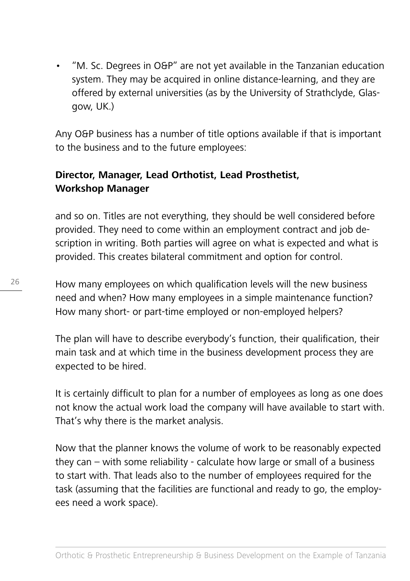• "M. Sc. Degrees in O&P" are not yet available in the Tanzanian education system. They may be acquired in online distance-learning, and they are offered by external universities (as by the University of Strathclyde, Glasgow, UK.)

Any O&P business has a number of title options available if that is important to the business and to the future employees:

## **Director, Manager, Lead Orthotist, Lead Prosthetist, Workshop Manager**

and so on. Titles are not everything, they should be well considered before provided. They need to come within an employment contract and job description in writing. Both parties will agree on what is expected and what is provided. This creates bilateral commitment and option for control.

How many employees on which qualification levels will the new business need and when? How many employees in a simple maintenance function? How many short- or part-time employed or non-employed helpers?

The plan will have to describe everybody's function, their qualification, their main task and at which time in the business development process they are expected to be hired.

It is certainly difficult to plan for a number of employees as long as one does not know the actual work load the company will have available to start with. That's why there is the market analysis.

Now that the planner knows the volume of work to be reasonably expected they can – with some reliability - calculate how large or small of a business to start with. That leads also to the number of employees required for the task (assuming that the facilities are functional and ready to go, the employees need a work space).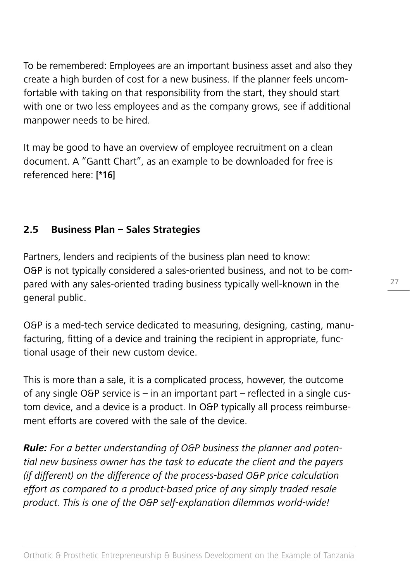To be remembered: Employees are an important business asset and also they create a high burden of cost for a new business. If the planner feels uncomfortable with taking on that responsibility from the start, they should start with one or two less employees and as the company grows, see if additional manpower needs to be hired.

It may be good to have an overview of employee recruitment on a clean document. A "Gantt Chart", as an example to be downloaded for free is referenced here: **[\*16]** 

## **2.5 Business Plan – Sales Strategies**

Partners, lenders and recipients of the business plan need to know: O&P is not typically considered a sales-oriented business, and not to be compared with any sales-oriented trading business typically well-known in the general public.

O&P is a med-tech service dedicated to measuring, designing, casting, manufacturing, fitting of a device and training the recipient in appropriate, functional usage of their new custom device.

This is more than a sale, it is a complicated process, however, the outcome of any single O&P service is – in an important part – reflected in a single custom device, and a device is a product. In O&P typically all process reimbursement efforts are covered with the sale of the device.

**Rule:** For a better understanding of O&P business the planner and potential new business owner has the task to educate the client and the payers (if different) on the difference of the process-based O&P price calculation effort as compared to a product-based price of any simply traded resale product. This is one of the O&P self-explanation dilemmas world-wide!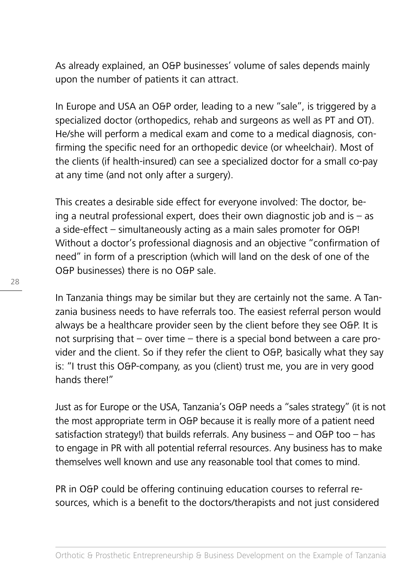As already explained, an O&P businesses' volume of sales depends mainly upon the number of patients it can attract.

In Europe and USA an O&P order, leading to a new "sale", is triggered by a specialized doctor (orthopedics, rehab and surgeons as well as PT and OT). He/she will perform a medical exam and come to a medical diagnosis, confirming the specific need for an orthopedic device (or wheelchair). Most of the clients (if health-insured) can see a specialized doctor for a small co-pay at any time (and not only after a surgery).

This creates a desirable side effect for everyone involved: The doctor, being a neutral professional expert, does their own diagnostic job and is – as a side-effect – simultaneously acting as a main sales promoter for O&P! Without a doctor's professional diagnosis and an objective "confirmation of need" in form of a prescription (which will land on the desk of one of the O&P businesses) there is no O&P sale.

In Tanzania things may be similar but they are certainly not the same. A Tanzania business needs to have referrals too. The easiest referral person would always be a healthcare provider seen by the client before they see O&P. It is not surprising that – over time – there is a special bond between a care provider and the client. So if they refer the client to O&P, basically what they say is: "I trust this O&P-company, as you (client) trust me, you are in very good hands there!"

Just as for Europe or the USA, Tanzania's O&P needs a "sales strategy" (it is not the most appropriate term in O&P because it is really more of a patient need satisfaction strategy!) that builds referrals. Any business  $-$  and O&P too  $-$  has to engage in PR with all potential referral resources. Any business has to make themselves well known and use any reasonable tool that comes to mind.

PR in O&P could be offering continuing education courses to referral resources, which is a benefit to the doctors/therapists and not just considered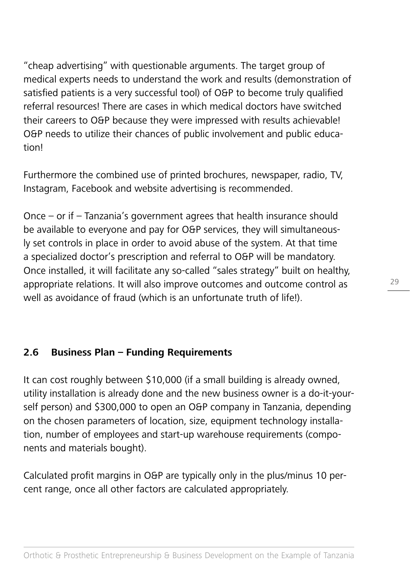"cheap advertising" with questionable arguments. The target group of medical experts needs to understand the work and results (demonstration of satisfied patients is a very successful tool) of O&P to become truly qualified referral resources! There are cases in which medical doctors have switched their careers to O&P because they were impressed with results achievable! O&P needs to utilize their chances of public involvement and public education!

Furthermore the combined use of printed brochures, newspaper, radio, TV, Instagram, Facebook and website advertising is recommended.

Once – or if – Tanzania's government agrees that health insurance should be available to everyone and pay for O&P services, they will simultaneously set controls in place in order to avoid abuse of the system. At that time a specialized doctor's prescription and referral to O&P will be mandatory. Once installed, it will facilitate any so-called "sales strategy" built on healthy, appropriate relations. It will also improve outcomes and outcome control as well as avoidance of fraud (which is an unfortunate truth of life!).

## **2.6 Business Plan – Funding Requirements**

It can cost roughly between \$10,000 (if a small building is already owned, utility installation is already done and the new business owner is a do-it-yourself person) and \$300,000 to open an O&P company in Tanzania, depending on the chosen parameters of location, size, equipment technology installation, number of employees and start-up warehouse requirements (components and materials bought).

Calculated profit margins in O&P are typically only in the plus/minus 10 percent range, once all other factors are calculated appropriately.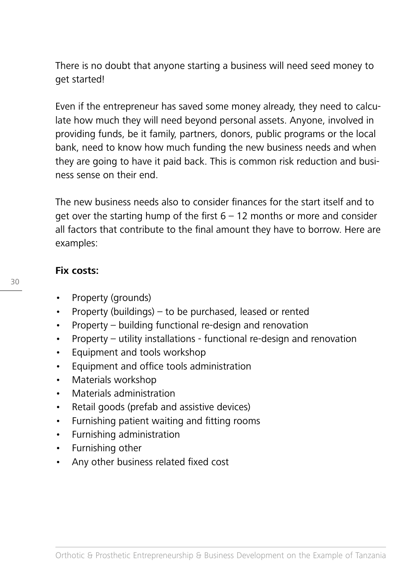There is no doubt that anyone starting a business will need seed money to get started!

Even if the entrepreneur has saved some money already, they need to calculate how much they will need beyond personal assets. Anyone, involved in providing funds, be it family, partners, donors, public programs or the local bank, need to know how much funding the new business needs and when they are going to have it paid back. This is common risk reduction and business sense on their end.

The new business needs also to consider finances for the start itself and to get over the starting hump of the first  $6 - 12$  months or more and consider all factors that contribute to the final amount they have to borrow. Here are examples:

## **Fix costs:**

- Property (grounds)
- Property (buildings) to be purchased, leased or rented
- Property building functional re-design and renovation
- Property utility installations functional re-design and renovation
- Equipment and tools workshop
- Equipment and office tools administration
- Materials workshop
- Materials administration
- Retail goods (prefab and assistive devices)
- Furnishing patient waiting and fitting rooms
- Furnishing administration
- Furnishing other
- Any other business related fixed cost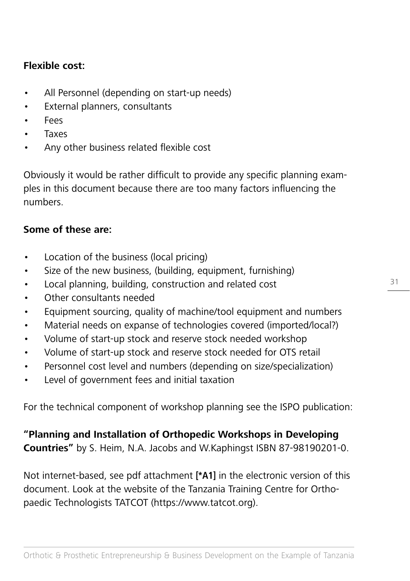#### **Flexible cost:**

- All Personnel (depending on start-up needs)
- External planners, consultants
- Fees
- **Taxes**
- Any other business related flexible cost

Obviously it would be rather difficult to provide any specific planning examples in this document because there are too many factors influencing the numbers.

#### **Some of these are:**

- Location of the business (local pricing)
- Size of the new business, (building, equipment, furnishing)
- Local planning, building, construction and related cost
- Other consultants needed
- Equipment sourcing, quality of machine/tool equipment and numbers
- Material needs on expanse of technologies covered (imported/local?)
- Volume of start-up stock and reserve stock needed workshop
- Volume of start-up stock and reserve stock needed for OTS retail
- Personnel cost level and numbers (depending on size/specialization)
- Level of government fees and initial taxation

For the technical component of workshop planning see the ISPO publication:

**"Planning and Installation of Orthopedic Workshops in Developing Countries"** by S. Heim, N.A. Jacobs and W.Kaphingst ISBN 87-98190201-0.

Not internet-based, see pdf attachment **[\*A1]** in the electronic version of this document. Look at the website of the Tanzania Training Centre for Orthopaedic Technologists TATCOT (https://www.tatcot.org).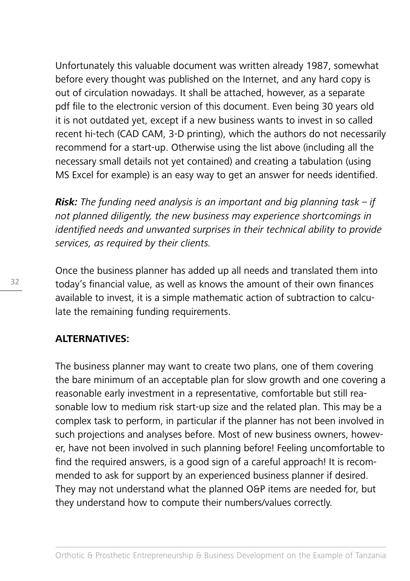Unfortunately this valuable document was written already 1987, somewhat before every thought was published on the Internet, and any hard copy is out of circulation nowadays. It shall be attached, however, as a separate pdf file to the electronic version of this document. Even being 30 years old it is not outdated yet, except if a new business wants to invest in so called recent hi-tech (CAD CAM, 3-D printing), which the authors do not necessarily recommend for a start-up. Otherwise using the list above (including all the necessary small details not yet contained) and creating a tabulation (using MS Excel for example) is an easy way to get an answer for needs identified.

**Risk:** The funding need analysis is an important and big planning task – if not planned diligently, the new business may experience shortcomings in identified needs and unwanted surprises in their technical ability to provide services, as required by their clients.

Once the business planner has added up all needs and translated them into today's financial value, as well as knows the amount of their own finances available to invest, it is a simple mathematic action of subtraction to calculate the remaining funding requirements.

#### **ALTERNATIVES:**

The business planner may want to create two plans, one of them covering the bare minimum of an acceptable plan for slow growth and one covering a reasonable early investment in a representative, comfortable but still reasonable low to medium risk start-up size and the related plan. This may be a complex task to perform, in particular if the planner has not been involved in such projections and analyses before. Most of new business owners, however, have not been involved in such planning before! Feeling uncomfortable to find the required answers, is a good sign of a careful approach! It is recommended to ask for support by an experienced business planner if desired. They may not understand what the planned O&P items are needed for, but they understand how to compute their numbers/values correctly.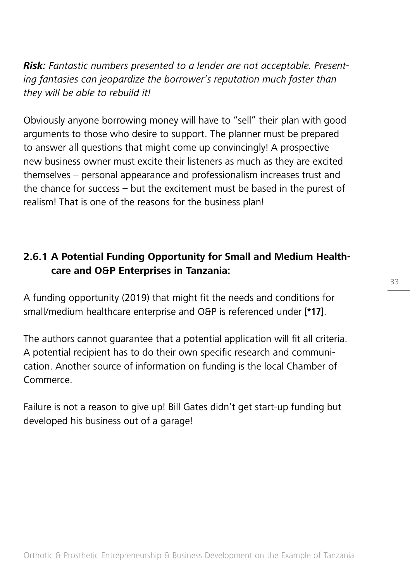**Risk:** Fantastic numbers presented to a lender are not acceptable. Presenting fantasies can jeopardize the borrower's reputation much faster than they will be able to rebuild it!

Obviously anyone borrowing money will have to "sell" their plan with good arguments to those who desire to support. The planner must be prepared to answer all questions that might come up convincingly! A prospective new business owner must excite their listeners as much as they are excited themselves – personal appearance and professionalism increases trust and the chance for success – but the excitement must be based in the purest of realism! That is one of the reasons for the business plan!

# **2.6.1 A Potential Funding Opportunity for Small and Medium Healthcare and O&P Enterprises in Tanzania:**

A funding opportunity (2019) that might fit the needs and conditions for small/medium healthcare enterprise and O&P is referenced under **[\*17]**.

The authors cannot guarantee that a potential application will fit all criteria. A potential recipient has to do their own specific research and communication. Another source of information on funding is the local Chamber of Commerce.

Failure is not a reason to give up! Bill Gates didn't get start-up funding but developed his business out of a garage!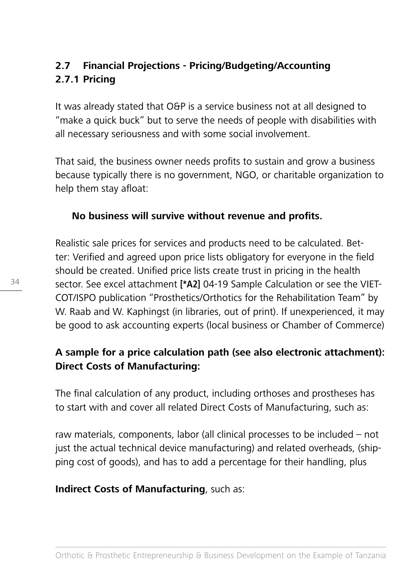# **2.7 Financial Projections - Pricing/Budgeting/Accounting 2.7.1 Pricing**

It was already stated that O&P is a service business not at all designed to "make a quick buck" but to serve the needs of people with disabilities with all necessary seriousness and with some social involvement.

That said, the business owner needs profits to sustain and grow a business because typically there is no government, NGO, or charitable organization to help them stay afloat:

## **No business will survive without revenue and profits.**

Realistic sale prices for services and products need to be calculated. Better: Verified and agreed upon price lists obligatory for everyone in the field should be created. Unified price lists create trust in pricing in the health sector. See excel attachment **[\*A2]** 04-19 Sample Calculation or see the VIET-COT/ISPO publication "Prosthetics/Orthotics for the Rehabilitation Team" by W. Raab and W. Kaphingst (in libraries, out of print). If unexperienced, it may be good to ask accounting experts (local business or Chamber of Commerce)

# **A sample for a price calculation path (see also electronic attachment): Direct Costs of Manufacturing:**

The final calculation of any product, including orthoses and prostheses has to start with and cover all related Direct Costs of Manufacturing, such as:

raw materials, components, labor (all clinical processes to be included – not just the actual technical device manufacturing) and related overheads, (shipping cost of goods), and has to add a percentage for their handling, plus

## **Indirect Costs of Manufacturing**, such as: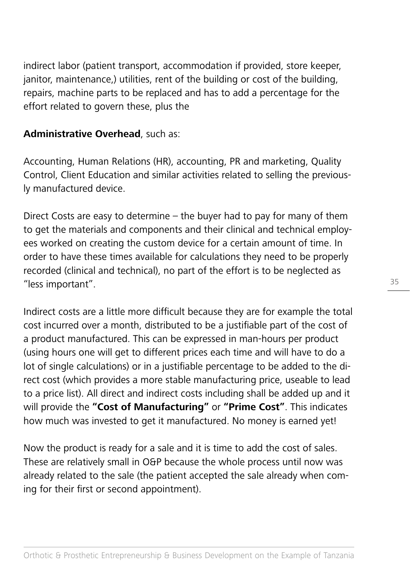indirect labor (patient transport, accommodation if provided, store keeper, janitor, maintenance,) utilities, rent of the building or cost of the building, repairs, machine parts to be replaced and has to add a percentage for the effort related to govern these, plus the

## **Administrative Overhead**, such as:

Accounting, Human Relations (HR), accounting, PR and marketing, Quality Control, Client Education and similar activities related to selling the previously manufactured device.

Direct Costs are easy to determine – the buyer had to pay for many of them to get the materials and components and their clinical and technical employees worked on creating the custom device for a certain amount of time. In order to have these times available for calculations they need to be properly recorded (clinical and technical), no part of the effort is to be neglected as "less important".

Indirect costs are a little more difficult because they are for example the total cost incurred over a month, distributed to be a justifiable part of the cost of a product manufactured. This can be expressed in man-hours per product (using hours one will get to different prices each time and will have to do a lot of single calculations) or in a justifiable percentage to be added to the direct cost (which provides a more stable manufacturing price, useable to lead to a price list). All direct and indirect costs including shall be added up and it will provide the **"Cost of Manufacturing"** or **"Prime Cost"**. This indicates how much was invested to get it manufactured. No money is earned yet!

Now the product is ready for a sale and it is time to add the cost of sales. These are relatively small in O&P because the whole process until now was already related to the sale (the patient accepted the sale already when coming for their first or second appointment).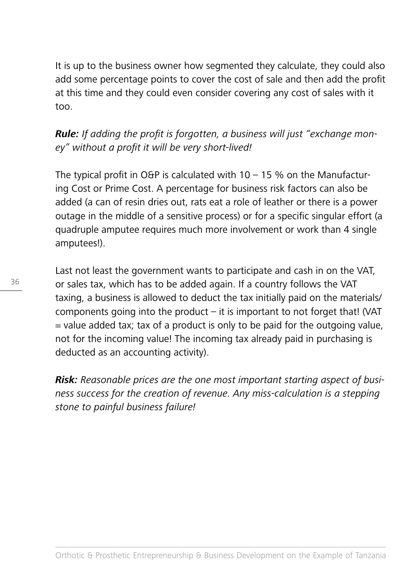It is up to the business owner how segmented they calculate, they could also add some percentage points to cover the cost of sale and then add the profit at this time and they could even consider covering any cost of sales with it too.

**Rule:** If adding the profit is forgotten, a business will just "exchange money" without a profit it will be very short-lived!

The typical profit in O&P is calculated with  $10 - 15$  % on the Manufacturing Cost or Prime Cost. A percentage for business risk factors can also be added (a can of resin dries out, rats eat a role of leather or there is a power outage in the middle of a sensitive process) or for a specific singular effort (a quadruple amputee requires much more involvement or work than 4 single amputees!).

Last not least the government wants to participate and cash in on the VAT, or sales tax, which has to be added again. If a country follows the VAT taxing, a business is allowed to deduct the tax initially paid on the materials/ components going into the product  $-$  it is important to not forget that! (VAT  $=$  value added tax; tax of a product is only to be paid for the outgoing value, not for the incoming value! The incoming tax already paid in purchasing is deducted as an accounting activity).

**Risk:** Reasonable prices are the one most important starting aspect of business success for the creation of revenue. Any miss-calculation is a stepping stone to painful business failure!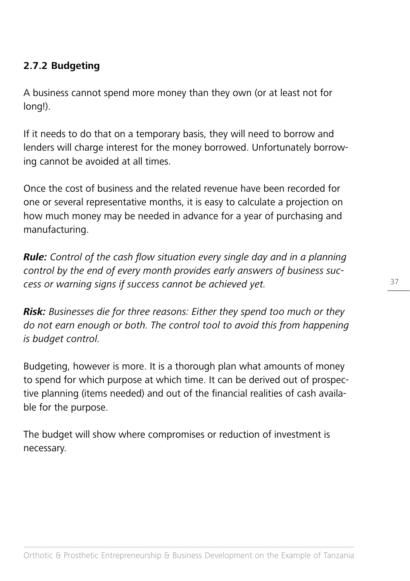## **2.7.2 Budgeting**

A business cannot spend more money than they own (or at least not for long!).

If it needs to do that on a temporary basis, they will need to borrow and lenders will charge interest for the money borrowed. Unfortunately borrowing cannot be avoided at all times.

Once the cost of business and the related revenue have been recorded for one or several representative months, it is easy to calculate a projection on how much money may be needed in advance for a year of purchasing and manufacturing.

**Rule:** Control of the cash flow situation every single day and in a planning control by the end of every month provides early answers of business success or warning signs if success cannot be achieved yet.

**Risk:** Businesses die for three reasons: Either they spend too much or they do not earn enough or both. The control tool to avoid this from happening is budget control.

Budgeting, however is more. It is a thorough plan what amounts of money to spend for which purpose at which time. It can be derived out of prospective planning (items needed) and out of the financial realities of cash available for the purpose.

The budget will show where compromises or reduction of investment is necessary.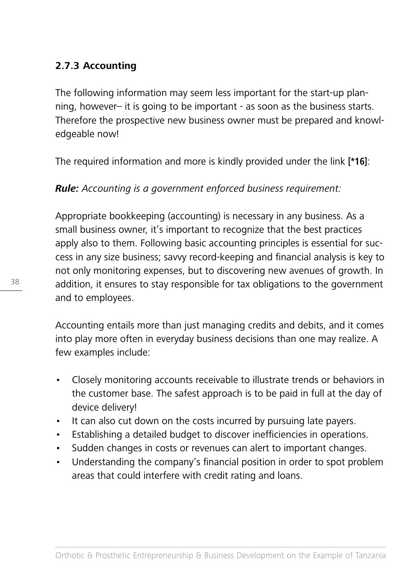## **2.7.3 Accounting**

The following information may seem less important for the start-up planning, however– it is going to be important - as soon as the business starts. Therefore the prospective new business owner must be prepared and knowledgeable now!

The required information and more is kindly provided under the link **[\*16]**:

## **Rule:** Accountina is a government enforced business requirement:

Appropriate bookkeeping (accounting) is necessary in any business. As a small business owner, it's important to recognize that the best practices apply also to them. Following basic accounting principles is essential for success in any size business; savvy record-keeping and financial analysis is key to not only monitoring expenses, but to discovering new avenues of growth. In addition, it ensures to stay responsible for tax obligations to the government and to employees.

Accounting entails more than just managing credits and debits, and it comes into play more often in everyday business decisions than one may realize. A few examples include:

- Closely monitoring accounts receivable to illustrate trends or behaviors in the customer base. The safest approach is to be paid in full at the day of device delivery!
- It can also cut down on the costs incurred by pursuing late payers.
- Establishing a detailed budget to discover inefficiencies in operations.
- Sudden changes in costs or revenues can alert to important changes.
- Understanding the company's financial position in order to spot problem areas that could interfere with credit rating and loans.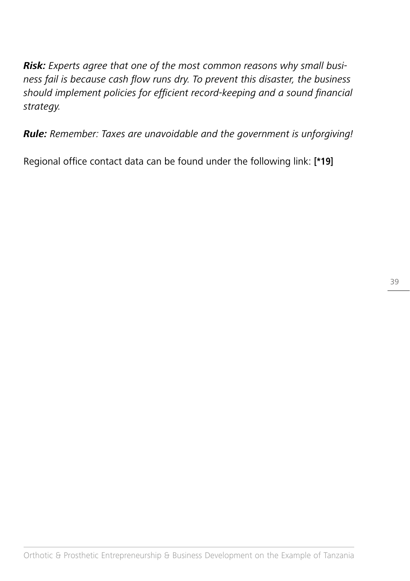**Risk:** Experts agree that one of the most common reasons why small business fail is because cash flow runs dry. To prevent this disaster, the business should implement policies for efficient record-keeping and a sound financial strategy.

**Rule:** Remember: Taxes are unavoidable and the government is unforgiving!

Regional office contact data can be found under the following link: **[\*19]**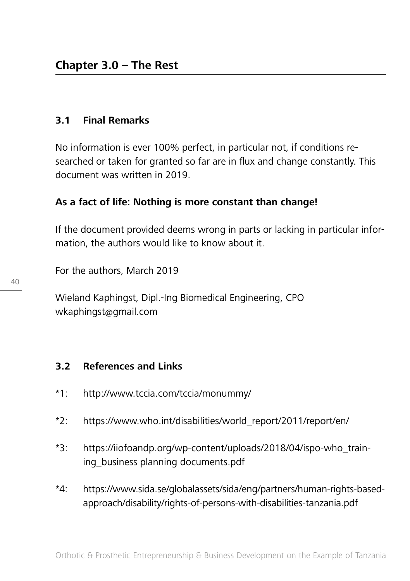#### **3.1 Final Remarks**

No information is ever 100% perfect, in particular not, if conditions researched or taken for granted so far are in flux and change constantly. This document was written in 2019.

## **As a fact of life: Nothing is more constant than change!**

If the document provided deems wrong in parts or lacking in particular information, the authors would like to know about it.

For the authors, March 2019

Wieland Kaphingst, Dipl.-Ing Biomedical Engineering, CPO wkaphingst@gmail.com

#### **3.2 References and Links**

- \*1: http://www.tccia.com/tccia/monummy/
- \*2: https://www.who.int/disabilities/world\_report/2011/report/en/
- \*3: https://iiofoandp.org/wp-content/uploads/2018/04/ispo-who\_training\_business planning documents.pdf
- \*4: https://www.sida.se/globalassets/sida/eng/partners/human-rights-basedapproach/disability/rights-of-persons-with-disabilities-tanzania.pdf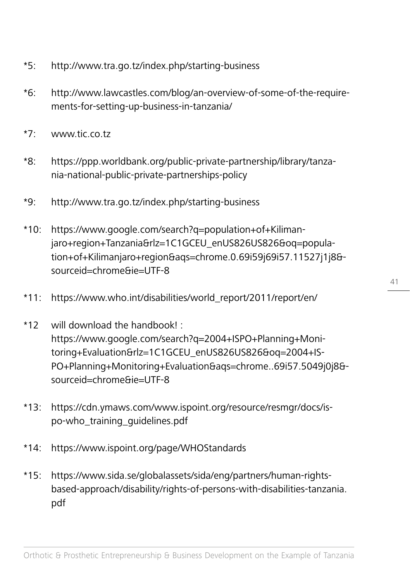- \*5: http://www.tra.go.tz/index.php/starting-business
- \*6: http://www.lawcastles.com/blog/an-overview-of-some-of-the-requirements-for-setting-up-business-in-tanzania/
- \*7: www.tic.co.tz
- \*8: https://ppp.worldbank.org/public-private-partnership/library/tanzania-national-public-private-partnerships-policy
- \*9: http://www.tra.go.tz/index.php/starting-business
- \*10: https://www.google.com/search?q=population+of+Kilimanjaro+region+Tanzania&rlz=1C1GCEU\_enUS826US826&oq=population+of+Kilimanjaro+region&aqs=chrome.0.69i59j69i57.11527j1j8& sourceid=chrome&ie=UTF-8
- \*11: https://www.who.int/disabilities/world\_report/2011/report/en/
- \*12 will download the handbook! : https://www.google.com/search?q=2004+ISPO+Planning+Monitoring+Evaluation&rlz=1C1GCEU\_enUS826US826&oq=2004+IS-PO+Planning+Monitoring+Evaluation&aqs=chrome..69i57.5049j0j8& sourceid=chrome&ie=UTF-8
- \*13: https://cdn.ymaws.com/www.ispoint.org/resource/resmgr/docs/ispo-who\_training\_guidelines.pdf
- \*14: https://www.ispoint.org/page/WHOStandards
- \*15: https://www.sida.se/globalassets/sida/eng/partners/human-rightsbased-approach/disability/rights-of-persons-with-disabilities-tanzania. pdf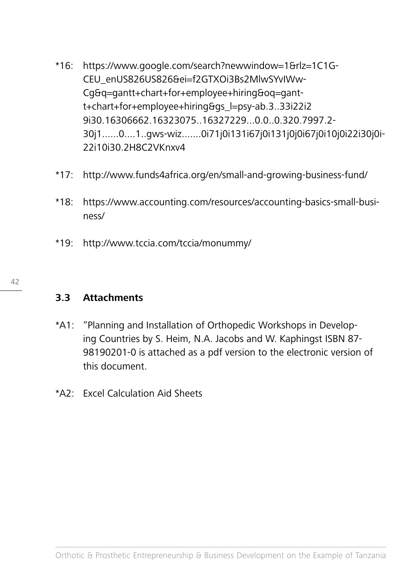- \*16: https://www.google.com/search?newwindow=1&rlz=1C1G-CEU\_enUS826US826&ei=f2GTXOi3Bs2MlwSYvIWw-Cg&q=gantt+chart+for+employee+hiring&oq=gantt+chart+for+employee+hiring&gs\_l=psy-ab.3..33i22i2 9i30.16306662.16323075..16327229...0.0..0.320.7997.2- 30j1......0....1..gws-wiz.......0i71j0i131i67j0i131j0j0i67j0i10j0i22i30j0i-22i10i30.2H8C2VKnxv4
- \*17: http://www.funds4africa.org/en/small-and-growing-business-fund/
- \*18: https://www.accounting.com/resources/accounting-basics-small-business/
- \*19: http://www.tccia.com/tccia/monummy/

## **3.3 Attachments**

- \*A1: "Planning and Installation of Orthopedic Workshops in Developing Countries by S. Heim, N.A. Jacobs and W. Kaphingst ISBN 87- 98190201-0 is attached as a pdf version to the electronic version of this document.
- \*A2: Excel Calculation Aid Sheets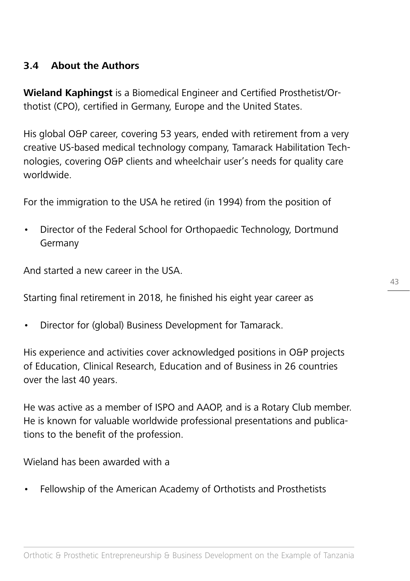## **3.4 About the Authors**

**Wieland Kaphingst** is a Biomedical Engineer and Certified Prosthetist/Orthotist (CPO), certified in Germany, Europe and the United States.

His global O&P career, covering 53 years, ended with retirement from a very creative US-based medical technology company, Tamarack Habilitation Technologies, covering O&P clients and wheelchair user's needs for quality care worldwide.

For the immigration to the USA he retired (in 1994) from the position of

• Director of the Federal School for Orthopaedic Technology, Dortmund Germany

And started a new career in the USA.

Starting final retirement in 2018, he finished his eight year career as

• Director for (global) Business Development for Tamarack.

His experience and activities cover acknowledged positions in O&P projects of Education, Clinical Research, Education and of Business in 26 countries over the last 40 years.

He was active as a member of ISPO and AAOP, and is a Rotary Club member. He is known for valuable worldwide professional presentations and publications to the benefit of the profession.

Wieland has been awarded with a

• Fellowship of the American Academy of Orthotists and Prosthetists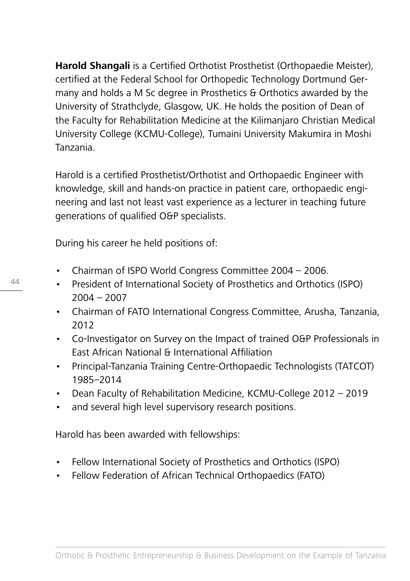**Harold Shangali** is a Certified Orthotist Prosthetist (Orthopaedie Meister), certified at the Federal School for Orthopedic Technology Dortmund Germany and holds a M Sc degree in Prosthetics & Orthotics awarded by the University of Strathclyde, Glasgow, UK. He holds the position of Dean of the Faculty for Rehabilitation Medicine at the Kilimanjaro Christian Medical University College (KCMU-College), Tumaini University Makumira in Moshi Tanzania.

Harold is a certified Prosthetist/Orthotist and Orthopaedic Engineer with knowledge, skill and hands-on practice in patient care, orthopaedic engineering and last not least vast experience as a lecturer in teaching future generations of qualified O&P specialists.

During his career he held positions of:

- Chairman of ISPO World Congress Committee 2004 2006.
- President of International Society of Prosthetics and Orthotics (ISPO) 2004 – 2007
- Chairman of FATO International Congress Committee, Arusha, Tanzania, 2012
- Co-Investigator on Survey on the Impact of trained O&P Professionals in East African National & International Affiliation
- Principal-Tanzania Training Centre-Orthopaedic Technologists (TATCOT) 1985–2014
- Dean Faculty of Rehabilitation Medicine, KCMU-College 2012 2019
- and several high level supervisory research positions.

Harold has been awarded with fellowships:

- Fellow International Society of Prosthetics and Orthotics (ISPO)
- Fellow Federation of African Technical Orthopaedics (FATO)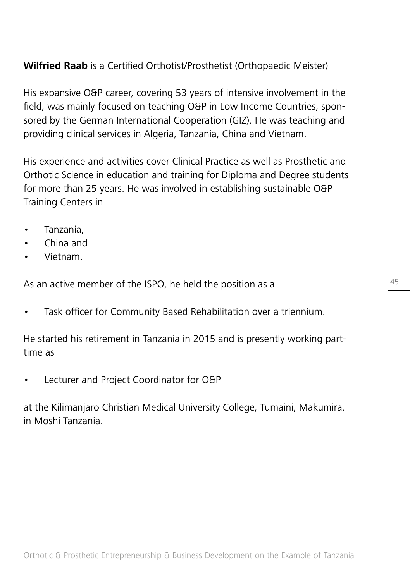# **Wilfried Raab** is a Certified Orthotist/Prosthetist (Orthopaedic Meister)

His expansive O&P career, covering 53 years of intensive involvement in the field, was mainly focused on teaching O&P in Low Income Countries, sponsored by the German International Cooperation (GIZ). He was teaching and providing clinical services in Algeria, Tanzania, China and Vietnam.

His experience and activities cover Clinical Practice as well as Prosthetic and Orthotic Science in education and training for Diploma and Degree students for more than 25 years. He was involved in establishing sustainable O&P Training Centers in

- Tanzania,
- China and
- Vietnam.

As an active member of the ISPO, he held the position as a

• Task officer for Community Based Rehabilitation over a triennium.

He started his retirement in Tanzania in 2015 and is presently working parttime as

• Lecturer and Project Coordinator for O&P

at the Kilimanjaro Christian Medical University College, Tumaini, Makumira, in Moshi Tanzania.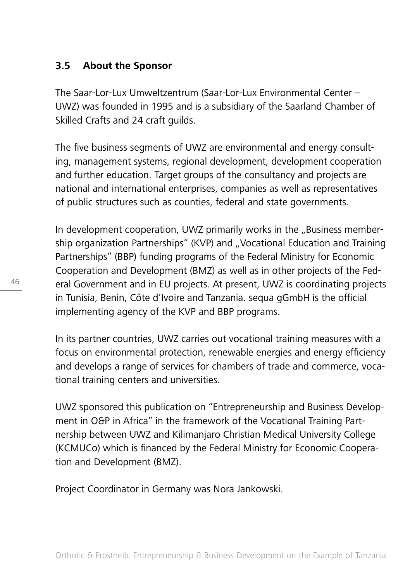## **3.5 About the Sponsor**

The Saar-Lor-Lux Umweltzentrum (Saar-Lor-Lux Environmental Center – UWZ) was founded in 1995 and is a subsidiary of the Saarland Chamber of Skilled Crafts and 24 craft guilds.

The five business segments of UWZ are environmental and energy consulting, management systems, regional development, development cooperation and further education. Target groups of the consultancy and projects are national and international enterprises, companies as well as representatives of public structures such as counties, federal and state governments.

In development cooperation, UWZ primarily works in the "Business membership organization Partnerships" (KVP) and "Vocational Education and Training Partnerships" (BBP) funding programs of the Federal Ministry for Economic Cooperation and Development (BMZ) as well as in other projects of the Federal Government and in EU projects. At present, UWZ is coordinating projects in Tunisia, Benin, Côte d'Ivoire and Tanzania. sequa gGmbH is the official implementing agency of the KVP and BBP programs.

In its partner countries, UWZ carries out vocational training measures with a focus on environmental protection, renewable energies and energy efficiency and develops a range of services for chambers of trade and commerce, vocational training centers and universities.

UWZ sponsored this publication on "Entrepreneurship and Business Development in O&P in Africa" in the framework of the Vocational Training Partnership between UWZ and Kilimanjaro Christian Medical University College (KCMUCo) which is financed by the Federal Ministry for Economic Cooperation and Development (BMZ).

Project Coordinator in Germany was Nora Jankowski.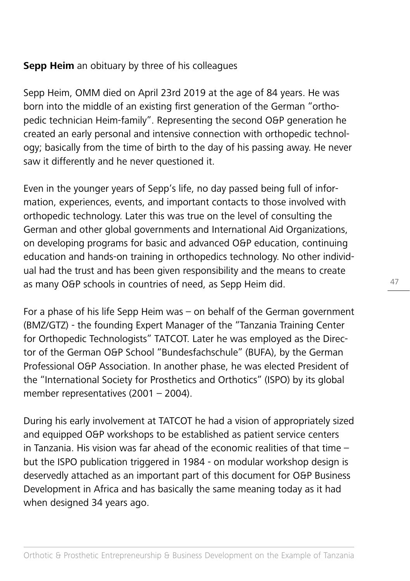## **Sepp Heim** an obituary by three of his colleagues

Sepp Heim, OMM died on April 23rd 2019 at the age of 84 years. He was born into the middle of an existing first generation of the German "orthopedic technician Heim-family". Representing the second O&P generation he created an early personal and intensive connection with orthopedic technology; basically from the time of birth to the day of his passing away. He never saw it differently and he never questioned it.

Even in the younger years of Sepp's life, no day passed being full of information, experiences, events, and important contacts to those involved with orthopedic technology. Later this was true on the level of consulting the German and other global governments and International Aid Organizations, on developing programs for basic and advanced O&P education, continuing education and hands-on training in orthopedics technology. No other individual had the trust and has been given responsibility and the means to create as many O&P schools in countries of need, as Sepp Heim did.

For a phase of his life Sepp Heim was – on behalf of the German government (BMZ/GTZ) - the founding Expert Manager of the "Tanzania Training Center for Orthopedic Technologists" TATCOT. Later he was employed as the Director of the German O&P School "Bundesfachschule" (BUFA), by the German Professional O&P Association. In another phase, he was elected President of the "International Society for Prosthetics and Orthotics" (ISPO) by its global member representatives (2001 – 2004).

During his early involvement at TATCOT he had a vision of appropriately sized and equipped O&P workshops to be established as patient service centers in Tanzania. His vision was far ahead of the economic realities of that time – but the ISPO publication triggered in 1984 - on modular workshop design is deservedly attached as an important part of this document for O&P Business Development in Africa and has basically the same meaning today as it had when designed 34 years ago.

47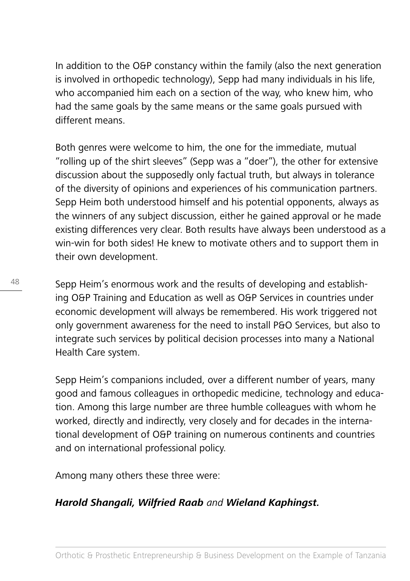In addition to the O&P constancy within the family (also the next generation is involved in orthopedic technology), Sepp had many individuals in his life, who accompanied him each on a section of the way, who knew him, who had the same goals by the same means or the same goals pursued with different means.

Both genres were welcome to him, the one for the immediate, mutual "rolling up of the shirt sleeves" (Sepp was a "doer"), the other for extensive discussion about the supposedly only factual truth, but always in tolerance of the diversity of opinions and experiences of his communication partners. Sepp Heim both understood himself and his potential opponents, always as the winners of any subject discussion, either he gained approval or he made existing differences very clear. Both results have always been understood as a win-win for both sides! He knew to motivate others and to support them in their own development.

Sepp Heim's enormous work and the results of developing and establishing O&P Training and Education as well as O&P Services in countries under economic development will always be remembered. His work triggered not only government awareness for the need to install P&O Services, but also to integrate such services by political decision processes into many a National Health Care system.

Sepp Heim's companions included, over a different number of years, many good and famous colleagues in orthopedic medicine, technology and education. Among this large number are three humble colleagues with whom he worked, directly and indirectly, very closely and for decades in the international development of O&P training on numerous continents and countries and on international professional policy.

Among many others these three were:

# **Harold Shangali, Wilfried Raab** and **Wieland Kaphingst.**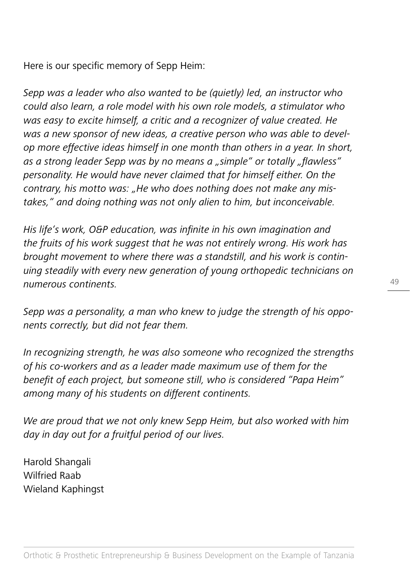Here is our specific memory of Sepp Heim:

Sepp was a leader who also wanted to be (quietly) led, an instructor who could also learn, a role model with his own role models, a stimulator who was easy to excite himself, a critic and a recognizer of value created. He was a new sponsor of new ideas, a creative person who was able to develop more effective ideas himself in one month than others in a year. In short, as a strong leader Sepp was by no means a "simple" or totally "flawless" personality. He would have never claimed that for himself either. On the contrary, his motto was: "He who does nothing does not make any mistakes," and doing nothing was not only alien to him, but inconceivable.

His life's work, O&P education, was infinite in his own imagination and the fruits of his work suggest that he was not entirely wrong. His work has brought movement to where there was a standstill, and his work is continuing steadily with every new generation of young orthopedic technicians on numerous continents.

Sepp was a personality, a man who knew to judge the strength of his opponents correctly, but did not fear them.

In recognizing strength, he was also someone who recognized the strengths of his co-workers and as a leader made maximum use of them for the benefit of each project, but someone still, who is considered "Papa Heim" among many of his students on different continents.

We are proud that we not only knew Sepp Heim, but also worked with him day in day out for a fruitful period of our lives.

Harold Shangali Wilfried Raab Wieland Kaphingst